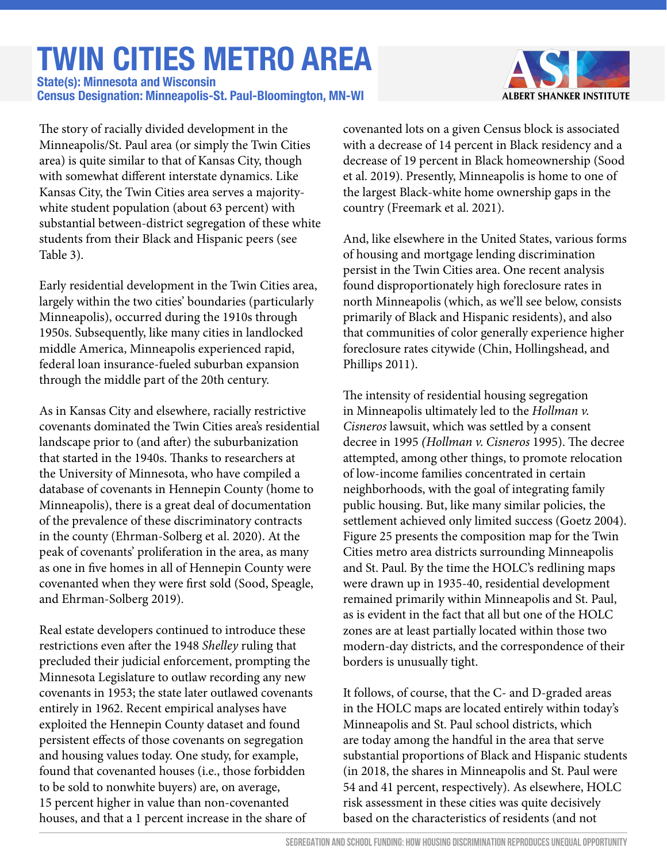# **TWIN CITIES METRO AREA**

**Census Designation: Minneapolis-St. Paul-Bloomington, MN-WI State(s): Minnesota and Wisconsin**



The story of racially divided development in the Minneapolis/St. Paul area (or simply the Twin Cities area) is quite similar to that of Kansas City, though with somewhat different interstate dynamics. Like Kansas City, the Twin Cities area serves a majoritywhite student population (about 63 percent) with substantial between-district segregation of these white students from their Black and Hispanic peers (see Table 3).

Early residential development in the Twin Cities area, largely within the two cities' boundaries (particularly Minneapolis), occurred during the 1910s through 1950s. Subsequently, like many cities in landlocked middle America, Minneapolis experienced rapid, federal loan insurance-fueled suburban expansion through the middle part of the 20th century.

As in Kansas City and elsewhere, racially restrictive covenants dominated the Twin Cities area's residential landscape prior to (and after) the suburbanization that started in the 1940s. Thanks to researchers at the University of Minnesota, who have compiled a database of covenants in Hennepin County (home to Minneapolis), there is a great deal of documentation of the prevalence of these discriminatory contracts in the county (Ehrman-Solberg et al. 2020). At the peak of covenants' proliferation in the area, as many as one in five homes in all of Hennepin County were covenanted when they were first sold (Sood, Speagle, and Ehrman-Solberg 2019).

Real estate developers continued to introduce these restrictions even after the 1948 *Shelley* ruling that precluded their judicial enforcement, prompting the Minnesota Legislature to outlaw recording any new covenants in 1953; the state later outlawed covenants entirely in 1962. Recent empirical analyses have exploited the Hennepin County dataset and found persistent effects of those covenants on segregation and housing values today. One study, for example, found that covenanted houses (i.e., those forbidden to be sold to nonwhite buyers) are, on average, 15 percent higher in value than non-covenanted houses, and that a 1 percent increase in the share of

covenanted lots on a given Census block is associated with a decrease of 14 percent in Black residency and a decrease of 19 percent in Black homeownership (Sood et al. 2019). Presently, Minneapolis is home to one of the largest Black-white home ownership gaps in the country (Freemark et al. 2021).

And, like elsewhere in the United States, various forms of housing and mortgage lending discrimination persist in the Twin Cities area. One recent analysis found disproportionately high foreclosure rates in north Minneapolis (which, as we'll see below, consists primarily of Black and Hispanic residents), and also that communities of color generally experience higher foreclosure rates citywide (Chin, Hollingshead, and Phillips 2011).

The intensity of residential housing segregation in Minneapolis ultimately led to the *Hollman v. Cisneros* lawsuit, which was settled by a consent decree in 1995 *(Hollman v. Cisneros* 1995). The decree attempted, among other things, to promote relocation of low-income families concentrated in certain neighborhoods, with the goal of integrating family public housing. But, like many similar policies, the settlement achieved only limited success (Goetz 2004). Figure 25 presents the composition map for the Twin Cities metro area districts surrounding Minneapolis and St. Paul. By the time the HOLC's redlining maps were drawn up in 1935-40, residential development remained primarily within Minneapolis and St. Paul, as is evident in the fact that all but one of the HOLC zones are at least partially located within those two modern-day districts, and the correspondence of their borders is unusually tight.

It follows, of course, that the C- and D-graded areas in the HOLC maps are located entirely within today's Minneapolis and St. Paul school districts, which are today among the handful in the area that serve substantial proportions of Black and Hispanic students (in 2018, the shares in Minneapolis and St. Paul were 54 and 41 percent, respectively). As elsewhere, HOLC risk assessment in these cities was quite decisively based on the characteristics of residents (and not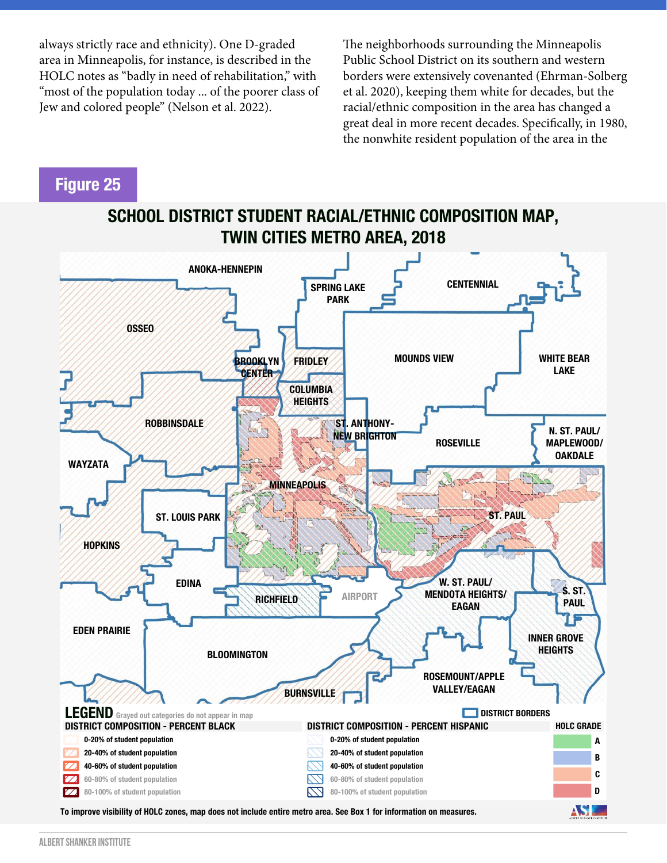always strictly race and ethnicity). One D-graded area in Minneapolis, for instance, is described in the HOLC notes as "badly in need of rehabilitation," with "most of the population today ... of the poorer class of Jew and colored people" (Nelson et al. 2022).

The neighborhoods surrounding the Minneapolis Public School District on its southern and western borders were extensively covenanted (Ehrman-Solberg et al. 2020), keeping them white for decades, but the racial/ethnic composition in the area has changed a great deal in more recent decades. Specifically, in 1980, the nonwhite resident population of the area in the

#### **Figure 25**

### **SCHOOL DISTRICT STUDENT RACIAL/ETHNIC COMPOSITION MAP, TWIN CITIES METRO AREA, 2018**

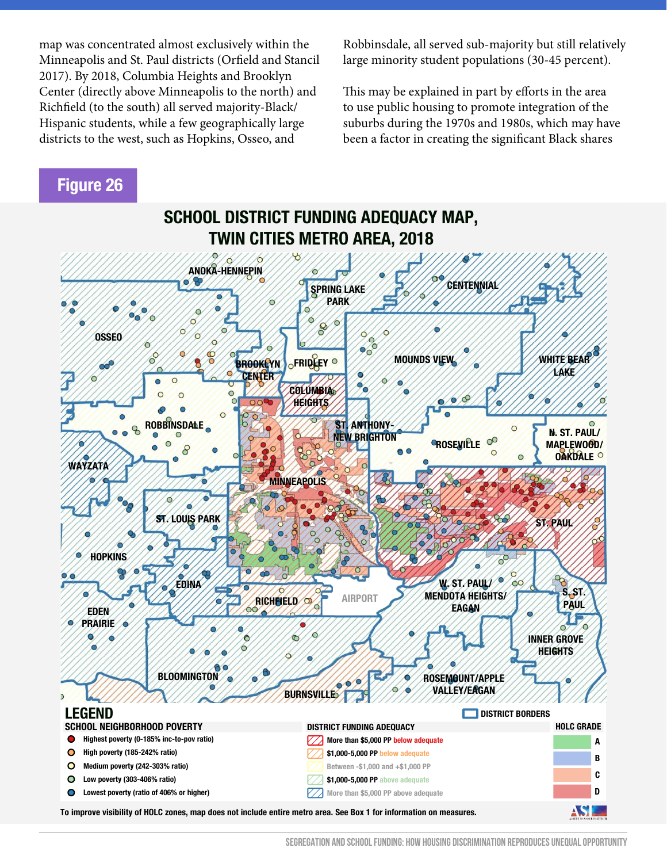map was concentrated almost exclusively within the Minneapolis and St. Paul districts (Orfield and Stancil 2017). By 2018, Columbia Heights and Brooklyn Center (directly above Minneapolis to the north) and Richfield (to the south) all served majority-Black/ Hispanic students, while a few geographically large districts to the west, such as Hopkins, Osseo, and

Robbinsdale, all served sub-majority but still relatively large minority student populations (30-45 percent).

This may be explained in part by efforts in the area to use public housing to promote integration of the suburbs during the 1970s and 1980s, which may have been a factor in creating the significant Black shares

#### **Figure 26**

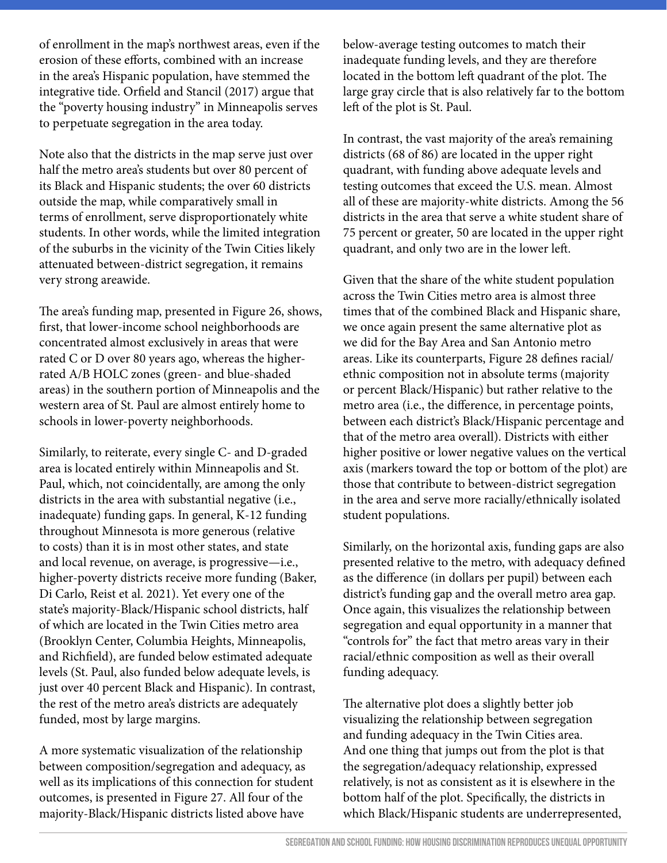of enrollment in the map's northwest areas, even if the erosion of these efforts, combined with an increase in the area's Hispanic population, have stemmed the integrative tide. Orfield and Stancil (2017) argue that the "poverty housing industry" in Minneapolis serves to perpetuate segregation in the area today.

Note also that the districts in the map serve just over half the metro area's students but over 80 percent of its Black and Hispanic students; the over 60 districts outside the map, while comparatively small in terms of enrollment, serve disproportionately white students. In other words, while the limited integration of the suburbs in the vicinity of the Twin Cities likely attenuated between-district segregation, it remains very strong areawide.

The area's funding map, presented in Figure 26, shows, first, that lower-income school neighborhoods are concentrated almost exclusively in areas that were rated C or D over 80 years ago, whereas the higherrated A/B HOLC zones (green- and blue-shaded areas) in the southern portion of Minneapolis and the western area of St. Paul are almost entirely home to schools in lower-poverty neighborhoods.

Similarly, to reiterate, every single C- and D-graded area is located entirely within Minneapolis and St. Paul, which, not coincidentally, are among the only districts in the area with substantial negative (i.e., inadequate) funding gaps. In general, K-12 funding throughout Minnesota is more generous (relative to costs) than it is in most other states, and state and local revenue, on average, is progressive—i.e., higher-poverty districts receive more funding (Baker, Di Carlo, Reist et al. 2021). Yet every one of the state's majority-Black/Hispanic school districts, half of which are located in the Twin Cities metro area (Brooklyn Center, Columbia Heights, Minneapolis, and Richfield), are funded below estimated adequate levels (St. Paul, also funded below adequate levels, is just over 40 percent Black and Hispanic). In contrast, the rest of the metro area's districts are adequately funded, most by large margins.

A more systematic visualization of the relationship between composition/segregation and adequacy, as well as its implications of this connection for student outcomes, is presented in Figure 27. All four of the majority-Black/Hispanic districts listed above have

below-average testing outcomes to match their inadequate funding levels, and they are therefore located in the bottom left quadrant of the plot. The large gray circle that is also relatively far to the bottom left of the plot is St. Paul.

In contrast, the vast majority of the area's remaining districts (68 of 86) are located in the upper right quadrant, with funding above adequate levels and testing outcomes that exceed the U.S. mean. Almost all of these are majority-white districts. Among the 56 districts in the area that serve a white student share of 75 percent or greater, 50 are located in the upper right quadrant, and only two are in the lower left.

Given that the share of the white student population across the Twin Cities metro area is almost three times that of the combined Black and Hispanic share, we once again present the same alternative plot as we did for the Bay Area and San Antonio metro areas. Like its counterparts, Figure 28 defines racial/ ethnic composition not in absolute terms (majority or percent Black/Hispanic) but rather relative to the metro area (i.e., the difference, in percentage points, between each district's Black/Hispanic percentage and that of the metro area overall). Districts with either higher positive or lower negative values on the vertical axis (markers toward the top or bottom of the plot) are those that contribute to between-district segregation in the area and serve more racially/ethnically isolated student populations.

Similarly, on the horizontal axis, funding gaps are also presented relative to the metro, with adequacy defined as the difference (in dollars per pupil) between each district's funding gap and the overall metro area gap. Once again, this visualizes the relationship between segregation and equal opportunity in a manner that "controls for" the fact that metro areas vary in their racial/ethnic composition as well as their overall funding adequacy.

The alternative plot does a slightly better job visualizing the relationship between segregation and funding adequacy in the Twin Cities area. And one thing that jumps out from the plot is that the segregation/adequacy relationship, expressed relatively, is not as consistent as it is elsewhere in the bottom half of the plot. Specifically, the districts in which Black/Hispanic students are underrepresented,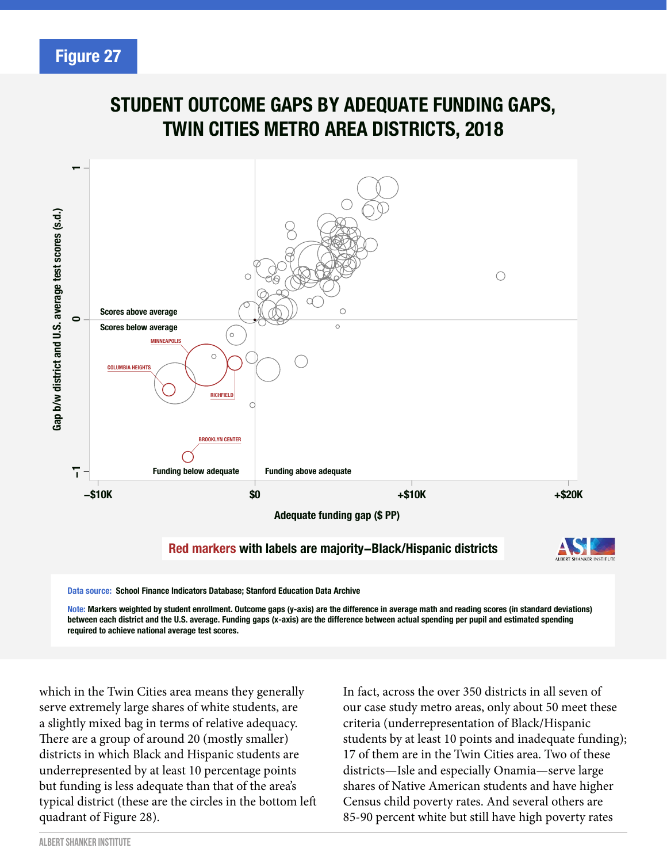## **STUDENT OUTCOME GAPS BY ADEQUATE FUNDING GAPS, TWIN CITIES METRO AREA DISTRICTS, 2018**



**Note: Markers weighted by student enrollment. Outcome gaps (y-axis) are the difference in average math and reading scores (in standard deviations) between each district and the U.S. average. Funding gaps (x-axis) are the difference between actual spending per pupil and estimated spending required to achieve national average test scores.**

which in the Twin Cities area means they generally serve extremely large shares of white students, are a slightly mixed bag in terms of relative adequacy. There are a group of around 20 (mostly smaller) districts in which Black and Hispanic students are underrepresented by at least 10 percentage points but funding is less adequate than that of the area's typical district (these are the circles in the bottom left quadrant of Figure 28).

In fact, across the over 350 districts in all seven of our case study metro areas, only about 50 meet these criteria (underrepresentation of Black/Hispanic students by at least 10 points and inadequate funding); 17 of them are in the Twin Cities area. Two of these districts—Isle and especially Onamia—serve large shares of Native American students and have higher Census child poverty rates. And several others are 85-90 percent white but still have high poverty rates